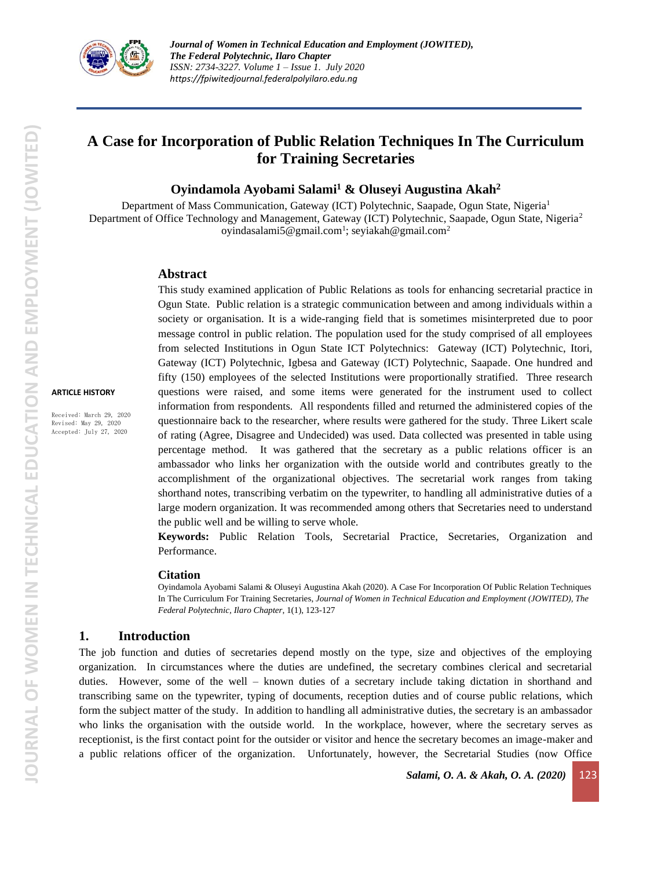

# **A Case for Incorporation of Public Relation Techniques In The Curriculum for Training Secretaries**

## **Oyindamola Ayobami Salami<sup>1</sup> & Oluseyi Augustina Akah<sup>2</sup>**

Department of Mass Communication, Gateway (ICT) Polytechnic, Saapade, Ogun State, Nigeria<sup>1</sup> Department of Office Technology and Management, Gateway (ICT) Polytechnic, Saapade, Ogun State, Nigeria<sup>2</sup> [oyindasalami5@gmail.com](mailto:oyindasalami5@gmail.com)<sup>1</sup>; seyiakah@gmail.com<sup>2</sup>

#### **Abstract**

This study examined application of Public Relations as tools for enhancing secretarial practice in Ogun State. Public relation is a strategic communication between and among individuals within a society or organisation. It is a wide-ranging field that is sometimes misinterpreted due to poor message control in public relation. The population used for the study comprised of all employees from selected Institutions in Ogun State ICT Polytechnics: Gateway (ICT) Polytechnic, Itori, Gateway (ICT) Polytechnic, Igbesa and Gateway (ICT) Polytechnic, Saapade. One hundred and fifty (150) employees of the selected Institutions were proportionally stratified. Three research questions were raised, and some items were generated for the instrument used to collect information from respondents. All respondents filled and returned the administered copies of the questionnaire back to the researcher, where results were gathered for the study. Three Likert scale of rating (Agree, Disagree and Undecided) was used. Data collected was presented in table using percentage method. It was gathered that the secretary as a public relations officer is an ambassador who links her organization with the outside world and contributes greatly to the accomplishment of the organizational objectives. The secretarial work ranges from taking shorthand notes, transcribing verbatim on the typewriter, to handling all administrative duties of a large modern organization. It was recommended among others that Secretaries need to understand the public well and be willing to serve whole.

**Keywords:** Public Relation Tools, Secretarial Practice, Secretaries, Organization and Performance.

#### **Citation**

Oyindamola Ayobami Salami & Oluseyi Augustina Akah (2020). A Case For Incorporation Of Public Relation Techniques In The Curriculum For Training Secretaries, *Journal of Women in Technical Education and Employment (JOWITED), The Federal Polytechnic, Ilaro Chapter*, 1(1), 123-127

### **1. Introduction**

The job function and duties of secretaries depend mostly on the type, size and objectives of the employing organization. In circumstances where the duties are undefined, the secretary combines clerical and secretarial duties. However, some of the well – known duties of a secretary include taking dictation in shorthand and transcribing same on the typewriter, typing of documents, reception duties and of course public relations, which form the subject matter of the study. In addition to handling all administrative duties, the secretary is an ambassador who links the organisation with the outside world. In the workplace, however, where the secretary serves as receptionist, is the first contact point for the outsider or visitor and hence the secretary becomes an image-maker and a public relations officer of the organization. Unfortunately, however, the Secretarial Studies (now Office

**ARTICLE HISTORY**

Received: March 29, 2020 Revised: May 29, 2020 Accepted: July 27, 2020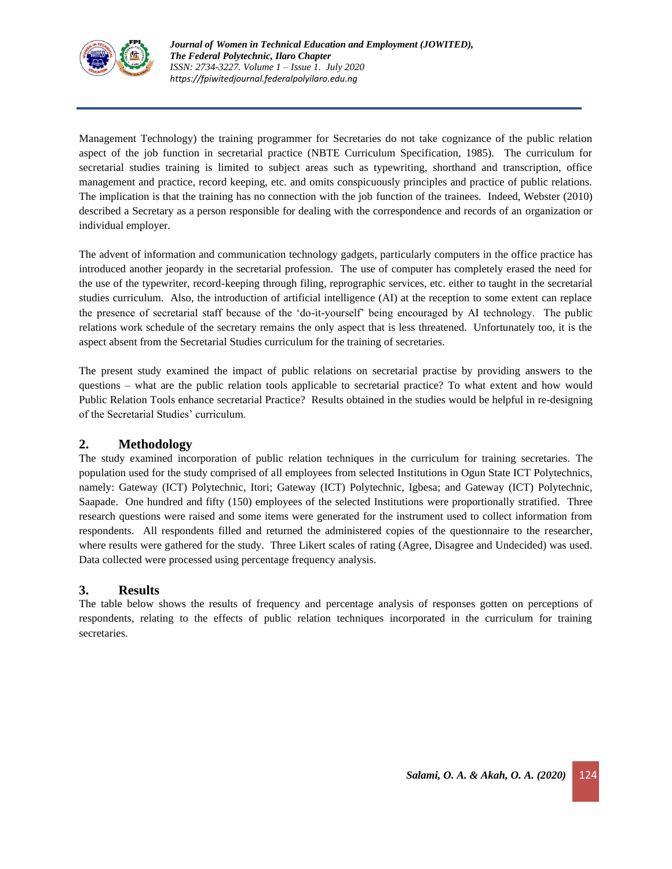

Management Technology) the training programmer for Secretaries do not take cognizance of the public relation aspect of the job function in secretarial practice (NBTE Curriculum Specification, 1985). The curriculum for secretarial studies training is limited to subject areas such as typewriting, shorthand and transcription, office management and practice, record keeping, etc. and omits conspicuously principles and practice of public relations. The implication is that the training has no connection with the job function of the trainees. Indeed, Webster (2010) described a Secretary as a person responsible for dealing with the correspondence and records of an organization or individual employer.

The advent of information and communication technology gadgets, particularly computers in the office practice has introduced another jeopardy in the secretarial profession. The use of computer has completely erased the need for the use of the typewriter, record-keeping through filing, reprographic services, etc. either to taught in the secretarial studies curriculum. Also, the introduction of artificial intelligence (AI) at the reception to some extent can replace the presence of secretarial staff because of the 'do-it-yourself' being encouraged by AI technology. The public relations work schedule of the secretary remains the only aspect that is less threatened. Unfortunately too, it is the aspect absent from the Secretarial Studies curriculum for the training of secretaries.

The present study examined the impact of public relations on secretarial practise by providing answers to the questions – what are the public relation tools applicable to secretarial practice? To what extent and how would Public Relation Tools enhance secretarial Practice? Results obtained in the studies would be helpful in re-designing of the Secretarial Studies' curriculum.

## **2. Methodology**

The study examined incorporation of public relation techniques in the curriculum for training secretaries. The population used for the study comprised of all employees from selected Institutions in Ogun State ICT Polytechnics, namely: Gateway (ICT) Polytechnic, Itori; Gateway (ICT) Polytechnic, Igbesa; and Gateway (ICT) Polytechnic, Saapade. One hundred and fifty (150) employees of the selected Institutions were proportionally stratified. Three research questions were raised and some items were generated for the instrument used to collect information from respondents. All respondents filled and returned the administered copies of the questionnaire to the researcher, where results were gathered for the study. Three Likert scales of rating (Agree, Disagree and Undecided) was used. Data collected were processed using percentage frequency analysis.

## **3. Results**

The table below shows the results of frequency and percentage analysis of responses gotten on perceptions of respondents, relating to the effects of public relation techniques incorporated in the curriculum for training secretaries.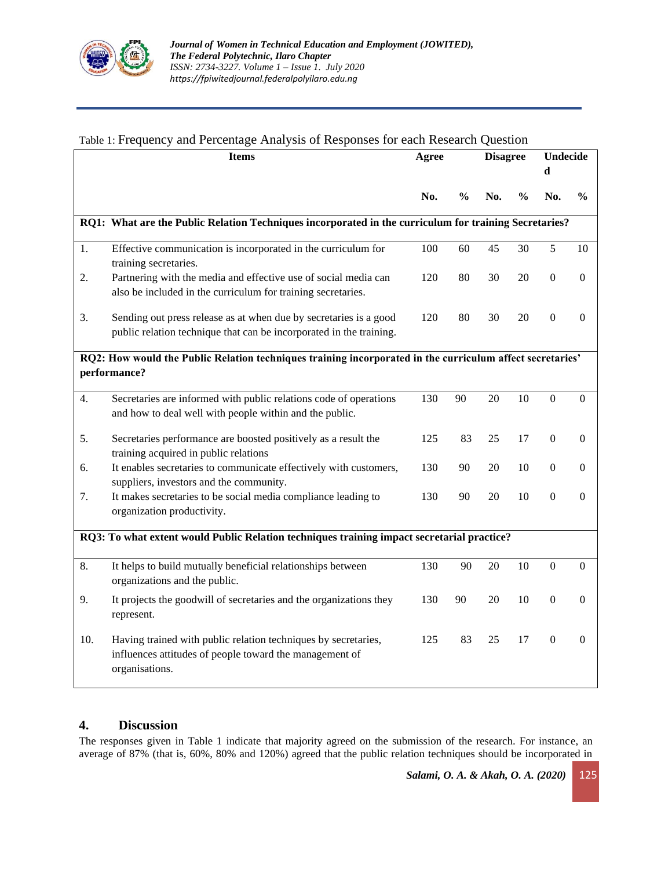

## Table 1: Frequency and Percentage Analysis of Responses for each Research Question

|                                                                                                                           | <b>Items</b>                                                                                                                                | Agree |               | <b>Disagree</b> |               | Undecide<br>d    |                |
|---------------------------------------------------------------------------------------------------------------------------|---------------------------------------------------------------------------------------------------------------------------------------------|-------|---------------|-----------------|---------------|------------------|----------------|
|                                                                                                                           |                                                                                                                                             | No.   | $\frac{0}{0}$ | No.             | $\frac{0}{0}$ | No.              | $\frac{0}{0}$  |
| RQ1: What are the Public Relation Techniques incorporated in the curriculum for training Secretaries?                     |                                                                                                                                             |       |               |                 |               |                  |                |
| 1.                                                                                                                        | Effective communication is incorporated in the curriculum for<br>training secretaries.                                                      | 100   | 60            | 45              | 30            | 5                | 10             |
| 2.                                                                                                                        | Partnering with the media and effective use of social media can<br>also be included in the curriculum for training secretaries.             | 120   | 80            | 30              | 20            | $\boldsymbol{0}$ | $\Omega$       |
| 3.                                                                                                                        | Sending out press release as at when due by secretaries is a good<br>public relation technique that can be incorporated in the training.    | 120   | 80            | 30              | 20            | $\boldsymbol{0}$ | $\Omega$       |
| RQ2: How would the Public Relation techniques training incorporated in the curriculum affect secretaries'<br>performance? |                                                                                                                                             |       |               |                 |               |                  |                |
| 4.                                                                                                                        | Secretaries are informed with public relations code of operations<br>and how to deal well with people within and the public.                | 130   | 90            | 20              | 10            | $\boldsymbol{0}$ | $\mathbf{0}$   |
| 5.                                                                                                                        | Secretaries performance are boosted positively as a result the<br>training acquired in public relations                                     | 125   | 83            | 25              | 17            | $\boldsymbol{0}$ | $\overline{0}$ |
| 6.                                                                                                                        | It enables secretaries to communicate effectively with customers,<br>suppliers, investors and the community.                                | 130   | 90            | 20              | 10            | $\boldsymbol{0}$ | $\overline{0}$ |
| 7.                                                                                                                        | It makes secretaries to be social media compliance leading to<br>organization productivity.                                                 | 130   | 90            | 20              | 10            | $\overline{0}$   | $\mathbf{0}$   |
| RQ3: To what extent would Public Relation techniques training impact secretarial practice?                                |                                                                                                                                             |       |               |                 |               |                  |                |
| 8.                                                                                                                        | It helps to build mutually beneficial relationships between<br>organizations and the public.                                                | 130   | 90            | 20              | 10            | $\boldsymbol{0}$ | $\mathbf{0}$   |
| 9.                                                                                                                        | It projects the goodwill of secretaries and the organizations they<br>represent.                                                            | 130   | 90            | 20              | 10            | $\boldsymbol{0}$ | $\theta$       |
| 10.                                                                                                                       | Having trained with public relation techniques by secretaries,<br>influences attitudes of people toward the management of<br>organisations. | 125   | 83            | 25              | 17            | $\boldsymbol{0}$ | $\Omega$       |

## **4. Discussion**

The responses given in Table 1 indicate that majority agreed on the submission of the research. For instance, an average of 87% (that is, 60%, 80% and 120%) agreed that the public relation techniques should be incorporated in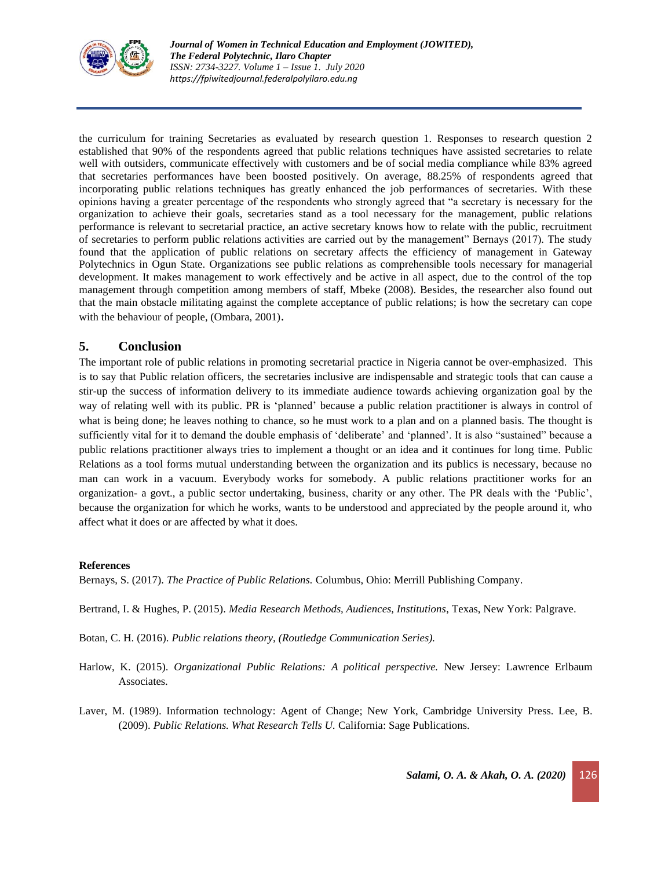

the curriculum for training Secretaries as evaluated by research question 1. Responses to research question 2 established that 90% of the respondents agreed that public relations techniques have assisted secretaries to relate well with outsiders, communicate effectively with customers and be of social media compliance while 83% agreed that secretaries performances have been boosted positively. On average, 88.25% of respondents agreed that incorporating public relations techniques has greatly enhanced the job performances of secretaries. With these opinions having a greater percentage of the respondents who strongly agreed that "a secretary is necessary for the organization to achieve their goals, secretaries stand as a tool necessary for the management, public relations performance is relevant to secretarial practice, an active secretary knows how to relate with the public, recruitment of secretaries to perform public relations activities are carried out by the management" Bernays (2017). The study found that the application of public relations on secretary affects the efficiency of management in Gateway Polytechnics in Ogun State. Organizations see public relations as comprehensible tools necessary for managerial development. It makes management to work effectively and be active in all aspect, due to the control of the top management through competition among members of staff, Mbeke (2008). Besides, the researcher also found out that the main obstacle militating against the complete acceptance of public relations; is how the secretary can cope with the behaviour of people, (Ombara, 2001).

## **5. Conclusion**

The important role of public relations in promoting secretarial practice in Nigeria cannot be over-emphasized. This is to say that Public relation officers, the secretaries inclusive are indispensable and strategic tools that can cause a stir-up the success of information delivery to its immediate audience towards achieving organization goal by the way of relating well with its public. PR is 'planned' because a public relation practitioner is always in control of what is being done; he leaves nothing to chance, so he must work to a plan and on a planned basis. The thought is sufficiently vital for it to demand the double emphasis of 'deliberate' and 'planned'. It is also "sustained" because a public relations practitioner always tries to implement a thought or an idea and it continues for long time. Public Relations as a tool forms mutual understanding between the organization and its publics is necessary, because no man can work in a vacuum. Everybody works for somebody. A public relations practitioner works for an organization- a govt., a public sector undertaking, business, charity or any other. The PR deals with the 'Public', because the organization for which he works, wants to be understood and appreciated by the people around it, who affect what it does or are affected by what it does.

#### **References**

Bernays, S. (2017). *The Practice of Public Relations.* Columbus, Ohio: Merrill Publishing Company.

Bertrand, I. & Hughes, P. (2015). *Media Research Methods, Audiences, Institutions*, Texas, New York: Palgrave.

Botan, C. H. (2016). *Public relations theory, (Routledge Communication Series).*

- Harlow, K. (2015). *Organizational Public Relations: A political perspective*. New Jersey: Lawrence Erlbaum Associates.
- Laver, M. (1989). Information technology: Agent of Change; New York, Cambridge University Press. Lee, B. (2009). *Public Relations. What Research Tells U.* California: Sage Publications.